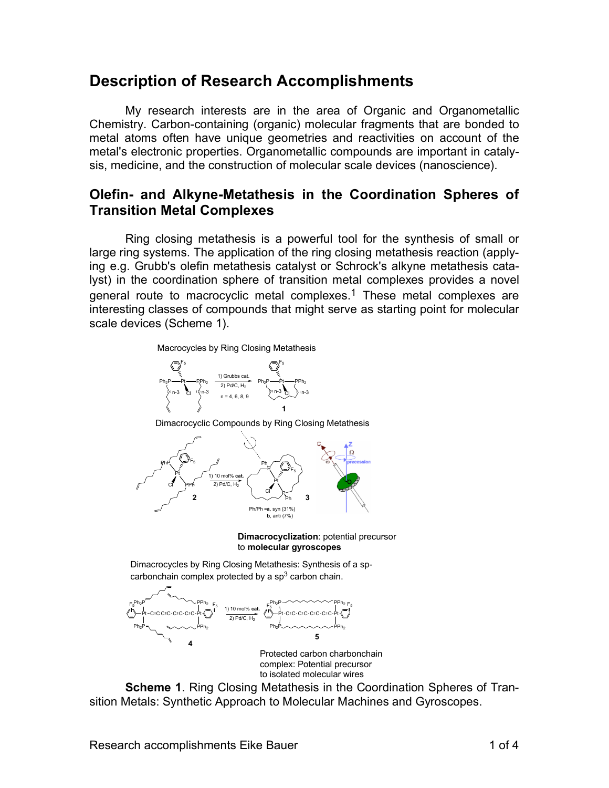## **Description of Research Accomplishments**

My research interests are in the area of Organic and Organometallic Chemistry. Carbon-containing (organic) molecular fragments that are bonded to metal atoms often have unique geometries and reactivities on account of the metal's electronic properties. Organometallic compounds are important in catalysis, medicine, and the construction of molecular scale devices (nanoscience).

## **Olefin- and Alkyne-Metathesis in the Coordination Spheres of Transition Metal Complexes**

Ring closing metathesis is a powerful tool for the synthesis of small or large ring systems. The application of the ring closing metathesis reaction (applying e.g. Grubb's olefin metathesis catalyst or Schrock's alkyne metathesis catalyst) in the coordination sphere of transition metal complexes provides a novel general route to macrocyclic metal complexes.<sup>1</sup> These metal complexes are interesting classes of compounds that might serve as starting point for molecular scale devices (Scheme 1).

Macrocycles by Ring Closing Metathesis



Dimacrocyclic Compounds by Ring Closing Metathesis



**Dimacrocyclization**: potential precursor to **molecular gyroscopes**

Dimacrocycles by Ring Closing Metathesis: Synthesis of a spcarbonchain complex protected by a  $sp<sup>3</sup>$  carbon chain.



Protected carbon charbonchain complex: Potential precursor to isolated molecular wires

**Scheme 1**. Ring Closing Metathesis in the Coordination Spheres of Transition Metals: Synthetic Approach to Molecular Machines and Gyroscopes.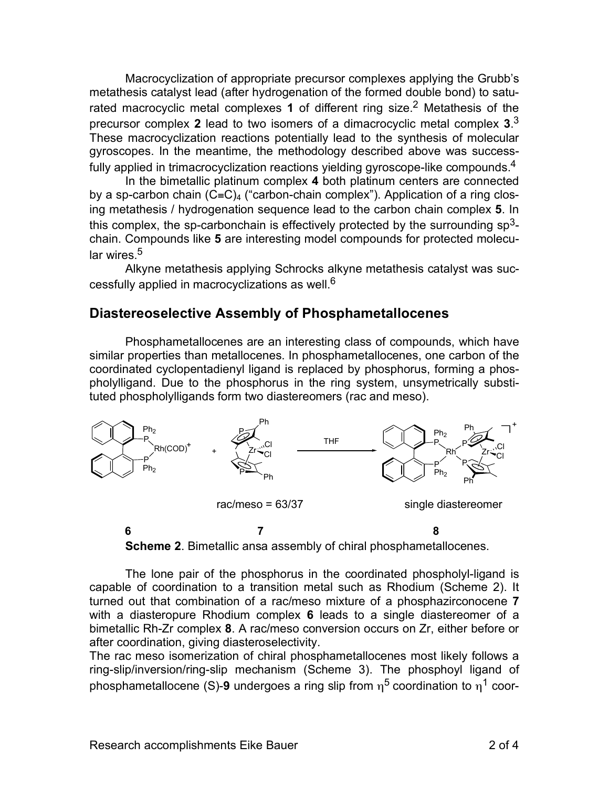Macrocyclization of appropriate precursor complexes applying the Grubb's metathesis catalyst lead (after hydrogenation of the formed double bond) to saturated macrocyclic metal complexes **1** of different ring size. <sup>2</sup> Metathesis of the precursor complex **2** lead to two isomers of a dimacrocyclic metal complex **3**. 3 These macrocyclization reactions potentially lead to the synthesis of molecular gyroscopes. In the meantime, the methodology described above was successfully applied in trimacrocyclization reactions yielding gyroscope-like compounds.<sup>4</sup>

In the bimetallic platinum complex **4** both platinum centers are connected by a sp-carbon chain  $(C≡C)<sub>4</sub>$  ("carbon-chain complex"). Application of a ring closing metathesis / hydrogenation sequence lead to the carbon chain complex **5**. In this complex, the sp-carbonchain is effectively protected by the surrounding  $sp<sup>3</sup>$ chain. Compounds like **5** are interesting model compounds for protected molecular wires <sup>5</sup>

Alkyne metathesis applying Schrocks alkyne metathesis catalyst was successfully applied in macrocyclizations as well.<sup>6</sup>

## **Diastereoselective Assembly of Phosphametallocenes**

Phosphametallocenes are an interesting class of compounds, which have similar properties than metallocenes. In phosphametallocenes, one carbon of the coordinated cyclopentadienyl ligand is replaced by phosphorus, forming a phospholylligand. Due to the phosphorus in the ring system, unsymetrically substituted phospholylligands form two diastereomers (rac and meso).





The lone pair of the phosphorus in the coordinated phospholyl-ligand is capable of coordination to a transition metal such as Rhodium (Scheme 2). It turned out that combination of a rac/meso mixture of a phosphazirconocene **7** with a diasteropure Rhodium complex **6** leads to a single diastereomer of a bimetallic Rh-Zr complex **8**. A rac/meso conversion occurs on Zr, either before or after coordination, giving diasteroselectivity.

The rac meso isomerization of chiral phosphametallocenes most likely follows a ring-slip/inversion/ring-slip mechanism (Scheme 3). The phosphoyl ligand of phosphametallocene (S)-9 undergoes a ring slip from  $\eta^5$  coordination to  $\eta^1$  coor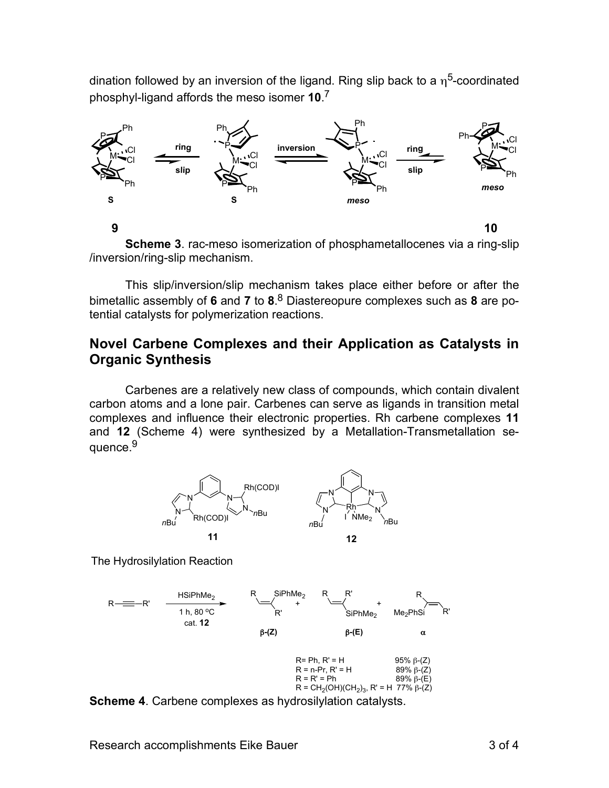dination followed by an inversion of the ligand. Ring slip back to a  $\eta^5$ -coordinated phosphyl-ligand affords the meso isomer **10**. 7



**Scheme 3**. rac-meso isomerization of phosphametallocenes via a ring-slip /inversion/ring-slip mechanism.

This slip/inversion/slip mechanism takes place either before or after the bimetallic assembly of **6** and **7** to **8**. <sup>8</sup> Diastereopure complexes such as **8** are potential catalysts for polymerization reactions.

## **Novel Carbene Complexes and their Application as Catalysts in Organic Synthesis**

Carbenes are a relatively new class of compounds, which contain divalent carbon atoms and a lone pair. Carbenes can serve as ligands in transition metal complexes and influence their electronic properties. Rh carbene complexes **11** and **12** (Scheme 4) were synthesized by a Metallation-Transmetallation sequence.<sup>9</sup>



The Hydrosilylation Reaction